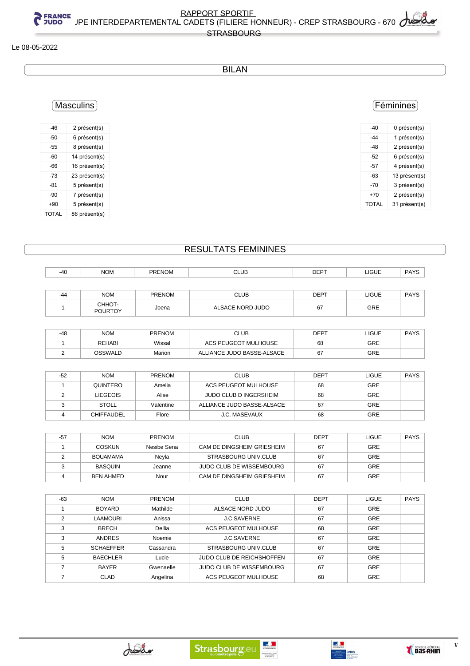#### Le 08-05-2022

## BILAN

## Masculins

| -46          | 2 présent(s)  |
|--------------|---------------|
| -50          | 6 présent(s)  |
| -55          | 8 présent(s)  |
| -60          | 14 présent(s) |
| -66          | 16 présent(s) |
| -73          | 23 présent(s) |
| -81          | 5 présent(s)  |
| -90          | 7 présent(s)  |
| $+90$        | 5 présent(s)  |
| <b>TOTAL</b> | 86 présent(s) |

## Féminines

| -40   | 0 présent(s)  |
|-------|---------------|
| -44   | 1 présent(s)  |
| -48   | 2 présent(s)  |
| -52   | 6 présent(s)  |
| -57   | 4 présent(s)  |
| -63   | 13 présent(s) |
| -70   | 3 présent(s)  |
| $+70$ | 2 présent(s)  |
| TOTAL | 31 présent(s) |
|       |               |

## RESULTATS FEMININES

| $-40$ | <b>NOM</b>               | <b>PRENOM</b> | <b>CLUB</b>      | <b>DEPT</b> | LIGUE      | <b>PAYS</b> |
|-------|--------------------------|---------------|------------------|-------------|------------|-------------|
|       |                          |               |                  |             |            |             |
| $-44$ | <b>NOM</b>               | <b>PRENOM</b> | <b>CLUB</b>      | <b>DEPT</b> | LIGUE      | <b>PAYS</b> |
|       | CHHOT-<br><b>POURTOY</b> | Joena         | ALSACE NORD JUDO | 67          | <b>GRE</b> |             |

| -48 | <b>NOM</b>    | <b>PRENOM</b> | CLUB                       | DEPT | LIGUE | <b>PAYS</b> |
|-----|---------------|---------------|----------------------------|------|-------|-------------|
|     | <b>REHABI</b> | Wissal        | ACS PEUGEOT MULHOUSE       | 68   | GRE   |             |
|     | OSSWALD       | Marion        | ALLIANCE JUDO BASSE-ALSACE | 67   | GRE   |             |

| -52 | <b>NOM</b>        | <b>PRENOM</b> | <b>CLUB</b>                | <b>DEPT</b> | <b>LIGUE</b> | <b>PAYS</b> |
|-----|-------------------|---------------|----------------------------|-------------|--------------|-------------|
|     | QUINTERO          | Amelia        | ACS PEUGEOT MULHOUSE       | 68          | <b>GRE</b>   |             |
|     | LIEGEOIS          | Alise         | JUDO CLUB D INGERSHEIM     | 68          | <b>GRE</b>   |             |
|     | <b>STOLL</b>      | Valentine     | ALLIANCE JUDO BASSE-ALSACE | 67          | <b>GRE</b>   |             |
|     | <b>CHIFFAUDEL</b> | Flore         | J.C. MASEVAUX              | 68          | GRE          |             |

| -57 | <b>NOM</b>       | <b>PRENOM</b> | <b>CLUB</b>                | <b>DEPT</b> | <b>LIGUE</b> | <b>PAYS</b> |
|-----|------------------|---------------|----------------------------|-------------|--------------|-------------|
|     | <b>COSKUN</b>    | Nesibe Sena   | CAM DE DINGSHEIM GRIESHEIM | 67          | <b>GRE</b>   |             |
|     | <b>BOUAMAMA</b>  | Nevla         | STRASBOURG UNIV.CLUB       | 67          | <b>GRE</b>   |             |
|     | <b>BASQUIN</b>   | Jeanne        | JUDO CLUB DE WISSEMBOURG   | 67          | <b>GRE</b>   |             |
|     | <b>BEN AHMED</b> | Nour          | CAM DE DINGSHEIM GRIESHEIM | 67          | GRE          |             |

| $-63$ | <b>NOM</b>       | <b>PRENOM</b> | <b>CLUB</b>                      | <b>DEPT</b> | <b>LIGUE</b> | <b>PAYS</b> |
|-------|------------------|---------------|----------------------------------|-------------|--------------|-------------|
|       | <b>BOYARD</b>    | Mathilde      | ALSACE NORD JUDO                 | 67          | <b>GRE</b>   |             |
| 2     | <b>LAAMOURI</b>  | Anissa        | <b>J.C.SAVERNE</b>               | 67          | <b>GRE</b>   |             |
| 3     | <b>BRECH</b>     | Dellia        | ACS PEUGEOT MULHOUSE             | 68          | <b>GRE</b>   |             |
| 3     | <b>ANDRES</b>    | Noemie        | <b>J.C.SAVERNE</b>               | 67          | <b>GRE</b>   |             |
| 5     | <b>SCHAEFFER</b> | Cassandra     | <b>STRASBOURG UNIV.CLUB</b>      | 67          | GRE          |             |
| 5     | <b>BAECHLER</b>  | Lucie         | <b>JUDO CLUB DE REICHSHOFFEN</b> | 67          | <b>GRE</b>   |             |
|       | <b>BAYER</b>     | Gwenaelle     | <b>JUDO CLUB DE WISSEMBOURG</b>  | 67          | <b>GRE</b>   |             |
|       | CLAD             | Angelina      | ACS PEUGEOT MULHOUSE             | 68          | <b>GRE</b>   |             |







 $1/3$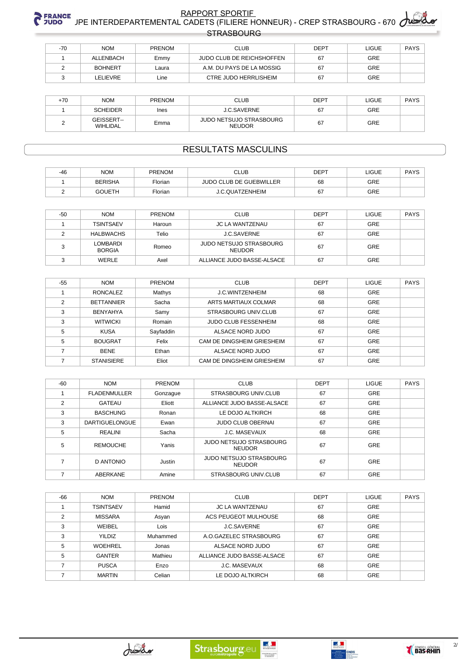# RAPPORT SPORTIE<br>C JUDO JPE INTERDEPARTEMENTAL CADETS (FILIERE HONNEUR) - CREP STRASBOURG - 670 **STRASBOURG**

| $-70$ | <b>NOM</b>     | <b>PRENOM</b> | CLUB.                        | <b>DEPT</b> | LIGUE | PAYS |
|-------|----------------|---------------|------------------------------|-------------|-------|------|
|       | ALLENBACH      | Emmy          | JUDO CLUB DE REICHSHOFFEN    | 67          | GRE   |      |
|       | <b>BOHNERT</b> | Laura         | A.M. DU PAYS DE LA MOSSIG    | 67          | GRE   |      |
|       | LELIEVRE       | Line          | <b>CTRE JUDO HERRLISHEIM</b> | 67          | GRE   |      |

| $+70$ | <b>NOM</b>                    | <b>PRENOM</b> | CLUB                                     | <b>DEPT</b> | LIGUE      | PAYS |
|-------|-------------------------------|---------------|------------------------------------------|-------------|------------|------|
|       | <b>SCHEIDER</b>               | Ines          | <b>J.C.SAVERNE</b>                       | 67          | GRE        |      |
|       | GEISSERT--<br><b>WIHLIDAL</b> | Emma          | JUDO NETSUJO STRASBOURG<br><b>NEUDOR</b> | 67          | <b>GRE</b> |      |

### **RESULTATS MASCULINS**

| $-46$ | <b>NOM</b>     | <b>PRENOM</b> | CLUB                           | <b>DEPT</b> | <b>LIGUE</b> | <b>PAYS</b> |
|-------|----------------|---------------|--------------------------------|-------------|--------------|-------------|
|       | <b>BERISHA</b> | Florian       | <b>JUDO CLUB DE GUEBWILLER</b> | 68          | GRE          |             |
|       | <b>GOUETH</b>  | Florian       | J.C.QUATZENHEIM                | 67          | GRE          |             |

| $-50$ | <b>NOM</b>                | <b>PRENOM</b> | <b>CLUB</b>                              | DEPT | LIGUE | PAYS |
|-------|---------------------------|---------------|------------------------------------------|------|-------|------|
|       | <b>TSINTSAEV</b>          | Haroun        | JC LA WANTZENAU                          | 67   | GRE   |      |
|       | <b>HALBWACHS</b>          | Telio         | J.C.SAVERNE                              | 67   | GRE   |      |
|       | LOMBARDI<br><b>BORGIA</b> | Romeo         | JUDO NETSUJO STRASBOURG<br><b>NEUDOR</b> | 67   | GRE   |      |
|       | <b>WERLE</b>              | Axel          | ALLIANCE JUDO BASSE-ALSACE               | 67   | GRE   |      |

| $-55$ | <b>NOM</b>        | <b>PRENOM</b> | <b>CLUB</b>                 | <b>DEPT</b> | <b>LIGUE</b> | <b>PAYS</b> |
|-------|-------------------|---------------|-----------------------------|-------------|--------------|-------------|
|       | <b>RONCALEZ</b>   | Mathys        | J.C.WINTZENHEIM             | 68          | GRE          |             |
| 2     | <b>BETTANNIER</b> | Sacha         | ARTS MARTIAUX COLMAR        | 68          | GRE          |             |
| 3     | <b>BENYAHYA</b>   | Samy          | STRASBOURG UNIV.CLUB        | 67          | <b>GRE</b>   |             |
| 3     | <b>WITWICKI</b>   | Romain        | <b>JUDO CLUB FESSENHEIM</b> | 68          | <b>GRE</b>   |             |
| 5     | <b>KUSA</b>       | Sayfaddin     | ALSACE NORD JUDO            | 67          | GRE          |             |
| 5     | <b>BOUGRAT</b>    | Felix         | CAM DE DINGSHEIM GRIESHEIM  | 67          | GRE          |             |
|       | <b>BENE</b>       | Ethan         | ALSACE NORD JUDO            | 67          | GRE          |             |
|       | <b>STANISIERE</b> | Eliot         | CAM DE DINGSHEIM GRIESHEIM  | 67          | GRE          |             |

| $-60$          | <b>NOM</b>            | PRENOM   | <b>CLUB</b>                                     | <b>DEPT</b> | <b>LIGUE</b> | <b>PAYS</b> |
|----------------|-----------------------|----------|-------------------------------------------------|-------------|--------------|-------------|
|                | <b>FLADENMULLER</b>   | Gonzague | STRASBOURG UNIV.CLUB                            | 67          | <b>GRE</b>   |             |
| $\overline{2}$ | GATEAU                | Eliott   | ALLIANCE JUDO BASSE-ALSACE                      | 67          | <b>GRE</b>   |             |
| 3              | <b>BASCHUNG</b>       | Ronan    | LE DOJO ALTKIRCH                                | 68          | GRE          |             |
| 3              | <b>DARTIGUELONGUE</b> | Ewan     | <b>JUDO CLUB OBERNAI</b>                        | 67          | GRE          |             |
| 5              | <b>REALINI</b>        | Sacha    | <b>J.C. MASEVAUX</b>                            | 68          | GRE          |             |
| 5              | <b>REMOUCHE</b>       | Yanis    | <b>JUDO NETSUJO STRASBOURG</b><br><b>NEUDOR</b> | 67          | GRE          |             |
|                | D ANTONIO             | Justin   | JUDO NETSUJO STRASBOURG<br><b>NEUDOR</b>        | 67          | GRE          |             |
|                | ABERKANE              | Amine    | STRASBOURG UNIV.CLUB                            | 67          | <b>GRE</b>   |             |

| $-66$ | <b>NOM</b>       | <b>PRENOM</b> | <b>CLUB</b>                 | <b>DEPT</b> | <b>LIGUE</b> | <b>PAYS</b> |
|-------|------------------|---------------|-----------------------------|-------------|--------------|-------------|
|       | <b>TSINTSAEV</b> | Hamid         | <b>JC LA WANTZENAU</b>      | 67          | GRE          |             |
| ◠     | <b>MISSARA</b>   | Asyan         | <b>ACS PEUGEOT MULHOUSE</b> | 68          | GRE          |             |
| 3     | WEIBEL           | Lois          | <b>J.C.SAVERNE</b>          | 67          | GRE          |             |
| 3     | <b>YILDIZ</b>    | Muhammed      | A.O.GAZELEC STRASBOURG      | 67          | GRE          |             |
| 5     | WOEHREL          | Jonas         | ALSACE NORD JUDO            | 67          | GRE          |             |
| 5     | <b>GANTER</b>    | Mathieu       | ALLIANCE JUDO BASSE-ALSACE  | 67          | GRE          |             |
|       | <b>PUSCA</b>     | Enzo          | J.C. MASEVAUX               | 68          | GRE          |             |
|       | <b>MARTIN</b>    | Celian        | LE DOJO ALTKIRCH            | 68          | <b>GRE</b>   |             |





 $\frac{2}{\sqrt{2}}$